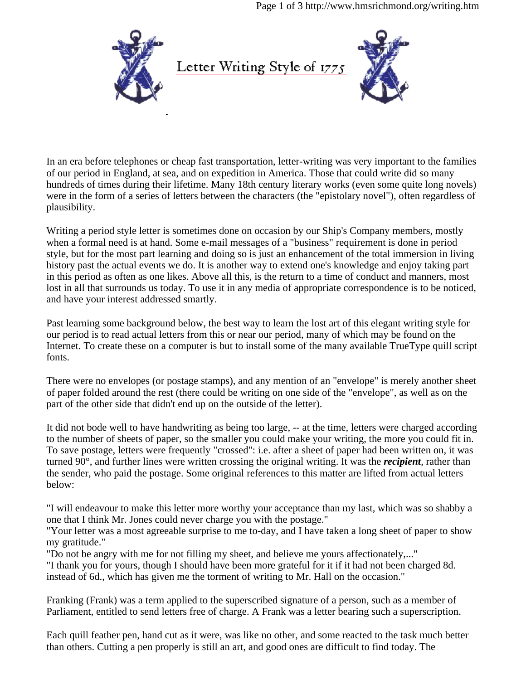Page 1 of 3 http://www.hmsrichmond.org/writing.htm



In an era before telephones or cheap fast transportation, letter-writing was very important to the families of our period in England, at sea, and on expedition in America. Those that could write did so many hundreds of times during their lifetime. Many 18th century literary works (even some quite long novels) were in the form of a series of letters between the characters (the "epistolary novel"), often regardless of plausibility.

Writing a period style letter is sometimes done on occasion by our Ship's Company members, mostly when a formal need is at hand. Some e-mail messages of a "business" requirement is done in period style, but for the most part learning and doing so is just an enhancement of the total immersion in living history past the actual events we do. It is another way to extend one's knowledge and enjoy taking part in this period as often as one likes. Above all this, is the return to a time of conduct and manners, most lost in all that surrounds us today. To use it in any media of appropriate correspondence is to be noticed, and have your interest addressed smartly.

Past learning some background below, the best way to learn the lost art of this elegant writing style for our period is to read actual letters from this or near our period, many of which may be found on the Internet. To create these on a computer is but to install some of the many available TrueType quill script fonts.

There were no envelopes (or postage stamps), and any mention of an "envelope" is merely another sheet of paper folded around the rest (there could be writing on one side of the "envelope", as well as on the part of the other side that didn't end up on the outside of the letter).

It did not bode well to have handwriting as being too large, -- at the time, letters were charged according to the number of sheets of paper, so the smaller you could make your writing, the more you could fit in. To save postage, letters were frequently "crossed": i.e. after a sheet of paper had been written on, it was turned 90°, and further lines were written crossing the original writing. It was the *recipient*, rather than the sender, who paid the postage. Some original references to this matter are lifted from actual letters below:

"I will endeavour to make this letter more worthy your acceptance than my last, which was so shabby a one that I think Mr. Jones could never charge you with the postage."

"Your letter was a most agreeable surprise to me to-day, and I have taken a long sheet of paper to show my gratitude."

"Do not be angry with me for not filling my sheet, and believe me yours affectionately,..."

"I thank you for yours, though I should have been more grateful for it if it had not been charged 8d. instead of 6d., which has given me the torment of writing to Mr. Hall on the occasion."

Franking (Frank) was a term applied to the superscribed signature of a person, such as a member of Parliament, entitled to send letters free of charge. A Frank was a letter bearing such a superscription.

Each quill feather pen, hand cut as it were, was like no other, and some reacted to the task much better than others. Cutting a pen properly is still an art, and good ones are difficult to find today. The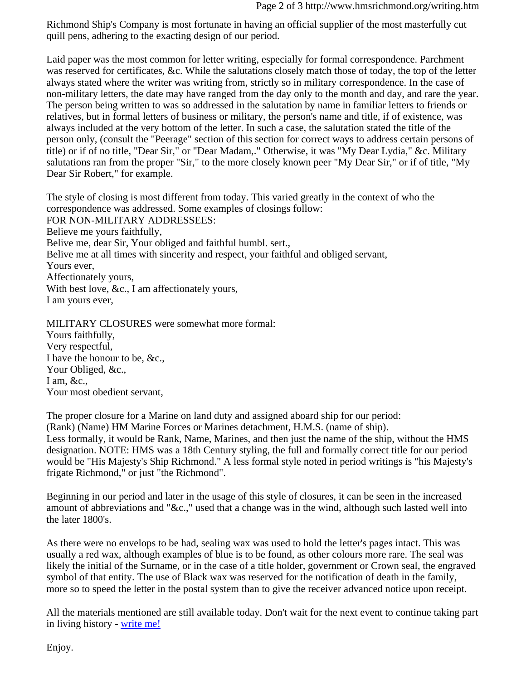Richmond Ship's Company is most fortunate in having an official supplier of the most masterfully cut quill pens, adhering to the exacting design of our period.

Laid paper was the most common for letter writing, especially for formal correspondence. Parchment was reserved for certificates, &c. While the salutations closely match those of today, the top of the letter always stated where the writer was writing from, strictly so in military correspondence. In the case of non-military letters, the date may have ranged from the day only to the month and day, and rare the year. The person being written to was so addressed in the salutation by name in familiar letters to friends or relatives, but in formal letters of business or military, the person's name and title, if of existence, was always included at the very bottom of the letter. In such a case, the salutation stated the title of the person only, (consult the "Peerage" section of this section for correct ways to address certain persons of title) or if of no title, "Dear Sir," or "Dear Madam,." Otherwise, it was "My Dear Lydia," &c. Military salutations ran from the proper "Sir," to the more closely known peer "My Dear Sir," or if of title, "My Dear Sir Robert," for example.

The style of closing is most different from today. This varied greatly in the context of who the correspondence was addressed. Some examples of closings follow: FOR NON-MILITARY ADDRESSEES: Believe me yours faithfully, Belive me, dear Sir, Your obliged and faithful humbl. sert., Belive me at all times with sincerity and respect, your faithful and obliged servant, Yours ever, Affectionately yours, With best love, &c., I am affectionately yours, I am yours ever,

MILITARY CLOSURES were somewhat more formal: Yours faithfully, Very respectful, I have the honour to be, &c., Your Obliged, &c., I am,  $&c$ ., Your most obedient servant,

The proper closure for a Marine on land duty and assigned aboard ship for our period: (Rank) (Name) HM Marine Forces or Marines detachment, H.M.S. (name of ship). Less formally, it would be Rank, Name, Marines, and then just the name of the ship, without the HMS designation. NOTE: HMS was a 18th Century styling, the full and formally correct title for our period would be "His Majesty's Ship Richmond." A less formal style noted in period writings is "his Majesty's frigate Richmond," or just "the Richmond".

Beginning in our period and later in the usage of this style of closures, it can be seen in the increased amount of abbreviations and "&c.," used that a change was in the wind, although such lasted well into the later 1800's.

As there were no envelops to be had, sealing wax was used to hold the letter's pages intact. This was usually a red wax, although examples of blue is to be found, as other colours more rare. The seal was likely the initial of the Surname, or in the case of a title holder, government or Crown seal, the engraved symbol of that entity. The use of Black wax was reserved for the notification of death in the family, more so to speed the letter in the postal system than to give the receiver advanced notice upon receipt.

All the materials mentioned are still available today. Don't wait for the next event to continue taking part in living history - write me!

Enjoy.